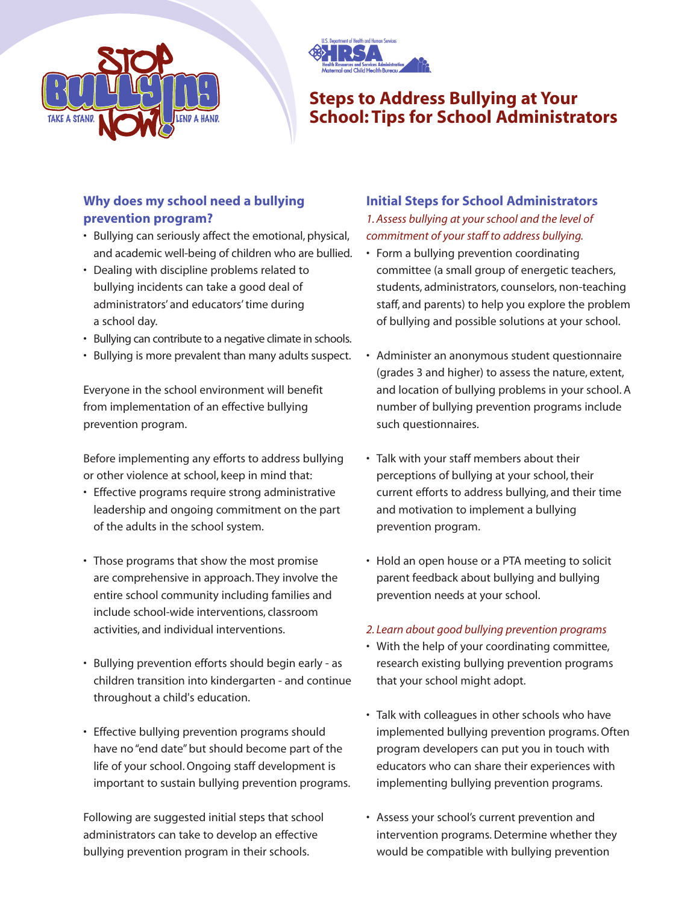



# **Steps to Address Bullying at Your School: Tips for School Administrators**

## **Why does my school need a bullying prevention program?**

- Bullying can seriously affect the emotional, physical, and academic well-being of children who are bullied.
- Dealing with discipline problems related to bullying incidents can take a good deal of administrators' and educators' time during a school day.
- Bullying can contribute to a negative climate in schools.
- Bullying is more prevalent than many adults suspect.

Everyone in the school environment will benefit from implementation of an effective bullying prevention program.

Before implementing any efforts to address bullying or other violence at school, keep in mind that:

- Effective programs require strong administrative leadership and ongoing commitment on the part of the adults in the school system.
- Those programs that show the most promise are comprehensive in approach. They involve the entire school community including families and include school-wide interventions, classroom activities, and individual interventions.
- Bullying prevention efforts should begin early as children transition into kindergarten - and continue throughout a child's education.
- Effective bullying prevention programs should have no "end date" but should become part of the life of your school. Ongoing staff development is important to sustain bullying prevention programs.

Following are suggested initial steps that school administrators can take to develop an effective bullying prevention program in their schools.

#### **Initial Steps for School Administrators** *1. Assess bullying at your school and the level of commitment of your staff to address bullying.*

- Form a bullying prevention coordinating committee (a small group of energetic teachers, students, administrators, counselors, non-teaching staff, and parents) to help you explore the problem of bullying and possible solutions at your school.
- Administer an anonymous student questionnaire (grades 3 and higher) to assess the nature, extent, and location of bullying problems in your school. A number of bullying prevention programs include such questionnaires.
- Talk with your staff members about their perceptions of bullying at your school, their current efforts to address bullying, and their time and motivation to implement a bullying prevention program.
- Hold an open house or a PTA meeting to solicit parent feedback about bullying and bullying prevention needs at your school.

#### *2. Learn about good bullying prevention programs*

- With the help of your coordinating committee, research existing bullying prevention programs that your school might adopt.
- Talk with colleagues in other schools who have implemented bullying prevention programs. Often program developers can put you in touch with educators who can share their experiences with implementing bullying prevention programs.
- Assess your school's current prevention and intervention programs. Determine whether they would be compatible with bullying prevention